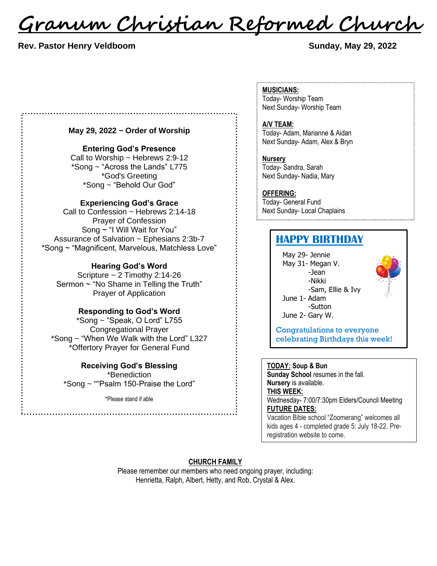<u>Granum Christian Reformed Church</u>

# **Rev. Pastor Henry Veldboom Sunday, May 29, 2022**

# **May 29, 2022 ~ Order of Worship**

### **Entering God's Presence**

Call to Worship  $\sim$  Hebrews 2:9-12 \*Song ~ "Across the Lands" L775 \*God's Greeting \*Song ~ "Behold Our God"

#### **Experiencing God's Grace**

Call to Confession ~ Hebrews 2:14-18 Prayer of Confession Song ~ "I Will Wait for You" Assurance of Salvation ~ Ephesians 2:3b-7 \*Song ~ "Magnificent, Marvelous, Matchless Love"

#### **Hearing God's Word**

Scripture ~ 2 Timothy 2:14-26 Sermon ~ "No Shame in Telling the Truth" Prayer of Application

# **Responding to God's Word**

\*Song ~ "Speak, O Lord" L755 Congregational Prayer \*Song ~ "When We Walk with the Lord" L327 \*Offertory Prayer for General Fund

# **Receiving God's Blessing** \*Benediction \*Song ~ ""Psalm 150-Praise the Lord"

\*Please stand if able

### **MUSICIANS:**

Today- Worship Team Next Sunday- Worship Team

#### **A/V TEAM:**

Today- Adam, Marianne & Aidan Next Sunday- Adam, Alex & Bryn

# **Nursery**

Today- Sandra, Sarah Next Sunday- Nadia, Mary

# **OFFERING:**

Today- General Fund Next Sunday- Local Chaplains

# **HAPPY BIRTHDAY**

May 29- Jennie May 31- Megan V. -Jean -Nikki -Sam, Ellie & Ivy June 1- Adam -Sutton June 2- Gary W.



Congratulations to everyone celebrating Birthdays this week!

# **TODAY: Soup & Bun**

**Sunday School** resumes in the fall. **Nursery** is available.

# **THIS WEEK:**

Wednesday- 7:00/7:30pm Elders/Council Meeting **FUTURE DATES:**

Vacation Bible school "Zoomerang" welcomes all kids ages 4 - completed grade 5: July 18-22. Preregistration website to come.

# **CHURCH FAMILY**

Please remember our members who need ongoing prayer, including: Henrietta, Ralph, Albert, Hetty, and Rob, Crystal & Alex.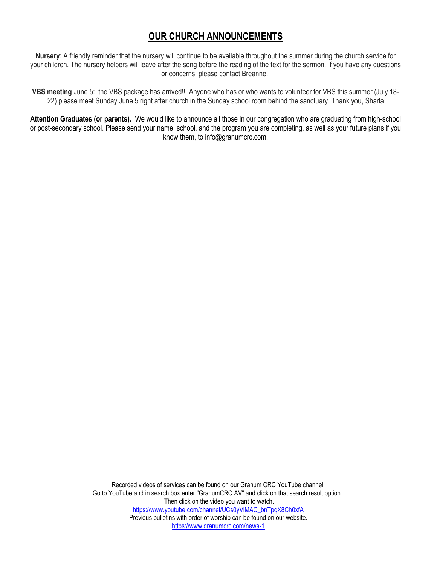# **OUR CHURCH ANNOUNCEMENTS**

**Nursery**: A friendly reminder that the nursery will continue to be available throughout the summer during the church service for your children. The nursery helpers will leave after the song before the reading of the text for the sermon. If you have any questions or concerns, please contact Breanne.

**VBS meeting** June 5: the VBS package has arrived!! Anyone who has or who wants to volunteer for VBS this summer (July 18- 22) please meet Sunday June 5 right after church in the Sunday school room behind the sanctuary. Thank you, Sharla

**Attention Graduates (or parents).** We would like to announce all those in our congregation who are graduating from high-school or post-secondary school. Please send your name, school, and the program you are completing, as well as your future plans if you know them, to info@granumcrc.com.

> Recorded videos of services can be found on our Granum CRC YouTube channel. Go to YouTube and in search box enter "GranumCRC AV" and click on that search result option. Then click on the video you want to watch. [https://www.youtube.com/channel/UCs0yVlMAC\\_bnTpqX8Ch0xfA](https://www.youtube.com/channel/UCs0yVlMAC_bnTpqX8Ch0xfA) Previous bulletins with order of worship can be found on our website. <https://www.granumcrc.com/news-1>